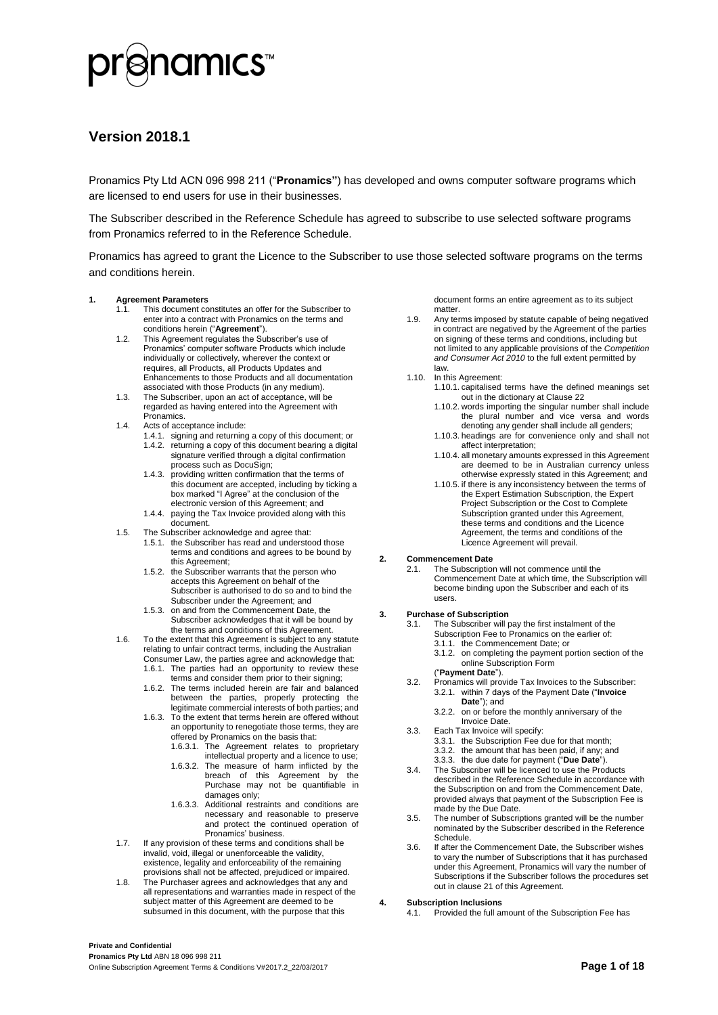

#### **Version 2018.1**

Pronamics Pty Ltd ACN 096 998 211 ("**Pronamics"**) has developed and owns computer software programs which are licensed to end users for use in their businesses.

The Subscriber described in the Reference Schedule has agreed to subscribe to use selected software programs from Pronamics referred to in the Reference Schedule.

Pronamics has agreed to grant the Licence to the Subscriber to use those selected software programs on the terms and conditions herein.

#### <span id="page-0-1"></span>**1. Agreement Parameters**

- 1.1. This document constitutes an offer for the Subscriber to enter into a contract with Pronamics on the terms and conditions herein ("**Agreement**").
- 1.2. This Agreement regulates the Subscriber's use of Pronamics' computer software Products which include individually or collectively, wherever the context or requires, all Products, all Products Updates and Enhancements to those Products and all documentation associated with those Products (in any medium).
- 1.3. The Subscriber, upon an act of acceptance, will be regarded as having entered into the Agreement with Pronamics.
- 1.4. Acts of acceptance include:
	- 1.4.1. signing and returning a copy of this document; or 1.4.2. returning a copy of this document bearing a digital signature verified through a digital confirmation process such as DocuSign;
	- 1.4.3. providing written confirmation that the terms of this document are accepted, including by ticking a box marked "I Agree" at the conclusion of the electronic version of this Agreement; and
	- 1.4.4. paying the Tax Invoice provided along with this document.
- 1.5. The Subscriber acknowledge and agree that:
	- 1.5.1. the Subscriber has read and understood those terms and conditions and agrees to be bound by this Agreement;
	- 1.5.2. the Subscriber warrants that the person who accepts this Agreement on behalf of the Subscriber is authorised to do so and to bind the Subscriber under the Agreement; and
	- 1.5.3. on and from the Commencement Date, the Subscriber acknowledges that it will be bound by the terms and conditions of this Agreement.
- 1.6. To the extent that this Agreement is subject to any statute relating to unfair contract terms, including the Australian
	- Consumer Law, the parties agree and acknowledge that: 1.6.1. The parties had an opportunity to review these terms and consider them prior to their signing;
	- 1.6.2. The terms included herein are fair and balanced between the parties, properly protecting the legitimate commercial interests of both parties; and
	- 1.6.3. To the extent that terms herein are offered without an opportunity to renegotiate those terms, they are offered by Pronamics on the basis that:
		- 1.6.3.1. The Agreement relates to proprietary intellectual property and a licence to use;
		- 1.6.3.2. The measure of harm inflicted by the breach of this Agreement by the Purchase may not be quantifiable in damages only;
		- 1.6.3.3. Additional restraints and conditions are necessary and reasonable to preserve and protect the continued operation of Pronamics' business.
- 1.7. If any provision of these terms and conditions shall be invalid, void, illegal or unenforceable the validity, existence, legality and enforceability of the remaining provisions shall not be affected, prejudiced or impaired.
- 1.8. The Purchaser agrees and acknowledges that any and all representations and warranties made in respect of the subject matter of this Agreement are deemed to be subsumed in this document, with the purpose that this

document forms an entire agreement as to its subject matter.

- 1.9. Any terms imposed by statute capable of being negatived in contract are negatived by the Agreement of the parties on signing of these terms and conditions, including but not limited to any applicable provisions of the *Competition and Consumer Act 2010* to the full extent permitted by law.
- 1.10. In this Agreement:
	- 1.10.1. capitalised terms have the defined meanings set out in the dictionary at Clause [22](#page-3-0)
	- 1.10.2. words importing the singular number shall include the plural number and vice versa and words denoting any gender shall include all genders;
	- 1.10.3. headings are for convenience only and shall not affect interpretation;
	- 1.10.4. all monetary amounts expressed in this Agreement are deemed to be in Australian currency unless otherwise expressly stated in this Agreement; and
	- 1.10.5. if there is any inconsistency between the terms of the Expert Estimation Subscription, the Expert Project Subscription or the Cost to Complete Subscription granted under this Agreement, these terms and conditions and the Licence Agreement, the terms and conditions of the Licence Agreement will prevail.

#### **2. Commencement Date**

2.1. The Subscription will not commence until the Commencement Date at which time, the Subscription will become binding upon the Subscriber and each of its users.

#### <span id="page-0-0"></span>**3. Purchase of Subscription**

- 3.1. The Subscriber will pay the first instalment of the
	- Subscription Fee to Pronamics on the earlier of:
	- 3.1.1. the Commencement Date; or
	- 3.1.2. on completing the payment portion section of the online Subscription Form
	- ("**Payment Date**").
- <span id="page-0-2"></span>3.2. Pronamics will provide Tax Invoices to the Subscriber: 3.2.1. within 7 days of the Payment Date ("**Invoice Date**"); and
	- 3.2.2. on or before the monthly anniversary of the Invoice Date.
- 3.3. Each Tax Invoice will specify:
	- 3.3.1. the Subscription Fee due for that month;
	- 3.3.2. the amount that has been paid, if any; and 3.3.3. the due date for payment ("**Due Date**").
- 3.4. The Subscriber will be licenced to use the Products described in the Reference Schedule in accordance with the Subscription on and from the Commencement Date, provided always that payment of the Subscription Fee is made by the Due Date.
- 3.5. The number of Subscriptions granted will be the number nominated by the Subscriber described in the Reference Schedule.
- 3.6. If after the Commencement Date, the Subscriber wishes to vary the number of Subscriptions that it has purchased under this Agreement, Pronamics will vary the number of Subscriptions if the Subscriber follows the procedures set out in claus[e 21](#page-3-1) of this Agreement.

#### **4. Subscription Inclusions**

4.1. Provided the full amount of the Subscription Fee has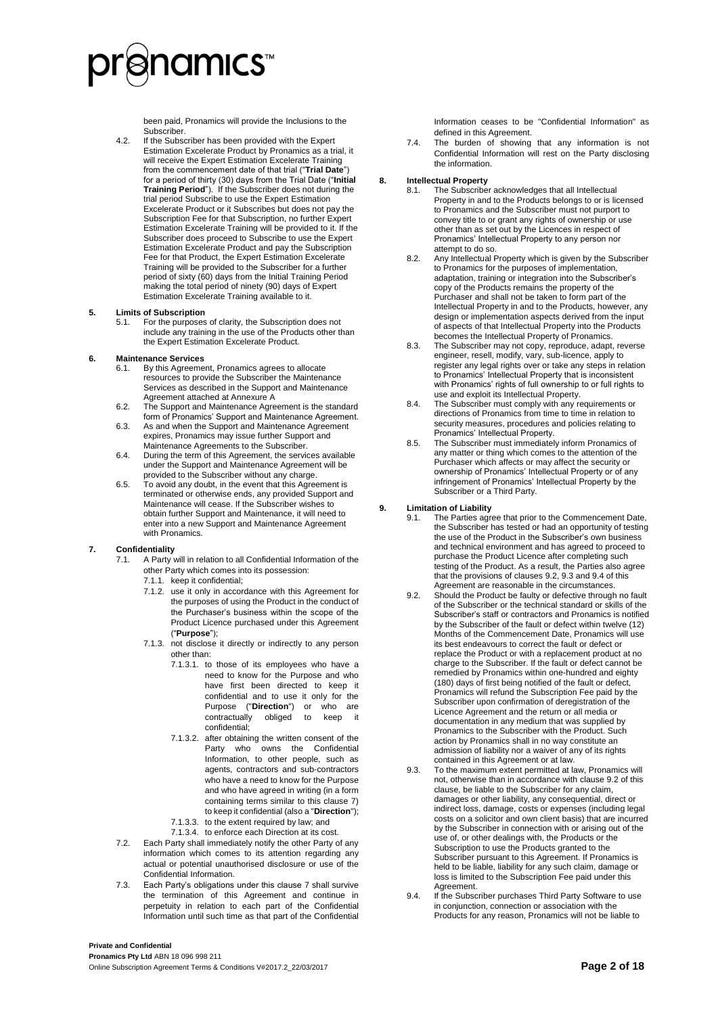## ≷namıcs™

been paid, Pronamics will provide the Inclusions to the Subscriber.

4.2. If the Subscriber has been provided with the Expert Estimation Excelerate Product by Pronamics as a trial, it will receive the Expert Estimation Excelerate Training from the commencement date of that trial ("**Trial Date**") for a period of thirty (30) days from the Trial Date ("**Initial Training Period**"). If the Subscriber does not during the trial period Subscribe to use the Expert Estimation Excelerate Product or it Subscribes but does not pay the Subscription Fee for that Subscription, no further Expert Estimation Excelerate Training will be provided to it. If the Subscriber does proceed to Subscribe to use the Expert Estimation Excelerate Product and pay the Subscription Fee for that Product, the Expert Estimation Excelerate Training will be provided to the Subscriber for a further period of sixty (60) days from the Initial Training Period making the total period of ninety (90) days of Expert Estimation Excelerate Training available to it.

#### **5. Limits of Subscription**

5.1. For the purposes of clarity, the Subscription does not include any training in the use of the Products other than the Expert Estimation Excelerate Product.

#### <span id="page-1-6"></span>**6. Maintenance Services**

- 6.1. By this Agreement, Pronamics agrees to allocate resources to provide the Subscriber the Maintenance Services as described in the Support and Maintenance Agreement attached at Annexure A
- 6.2. The Support and Maintenance Agreement is the standard form of Pronamics' Support and Maintenance Agreement.
- 6.3. As and when the Support and Maintenance Agreement expires, Pronamics may issue further Support and Maintenance Agreements to the Subscriber.
- 6.4. During the term of this Agreement, the services available under the Support and Maintenance Agreement will be provided to the Subscriber without any charge.
- 6.5. To avoid any doubt, in the event that this Agreement is terminated or otherwise ends, any provided Support and Maintenance will cease. If the Subscriber wishes to obtain further Support and Maintenance, it will need to enter into a new Support and Maintenance Agreement with Pronamics.

#### <span id="page-1-0"></span>**7. Confidentiality**

- 7.1. A Party will in relation to all Confidential Information of the
	- other Party which comes into its possession:
	- 7.1.1. keep it confidential; 7.1.2. use it only in accordance with this Agreement for the purposes of using the Product in the conduct of the Purchaser's business within the scope of the Product Licence purchased under this Agreement ("**Purpose**");
	- 7.1.3. not disclose it directly or indirectly to any person other than:
		- 7.1.3.1. to those of its employees who have a need to know for the Purpose and who have first been directed to keep it confidential and to use it only for the Purpose ("**Direction**") or who are contractually obliged to keep confidential;
		- 7.1.3.2. after obtaining the written consent of the Party who owns the Confidential Information, to other people, such as agents, contractors and sub-contractors who have a need to know for the Purpose and who have agreed in writing (in a form containing terms similar to this clause 7) to keep it confidential (also a "**Direction**");
		- 7.1.3.3. to the extent required by law; and
		- 7.1.3.4. to enforce each Direction at its cost.
- 7.2. Each Party shall immediately notify the other Party of any information which comes to its attention regarding any actual or potential unauthorised disclosure or use of the Confidential Information.
- 7.3. Each Party's obligations under this claus[e 7](#page-1-0) shall survive the termination of this Agreement and continue in perpetuity in relation to each part of the Confidential Information until such time as that part of the Confidential

Information ceases to be "Confidential Information" as defined in this Agreement.

7.4. The burden of showing that any information is not Confidential Information will rest on the Party disclosing the information.

#### <span id="page-1-4"></span>**8. Intellectual Property**

- 8.1. The Subscriber acknowledges that all Intellectual Property in and to the Products belongs to or is licensed to Pronamics and the Subscriber must not purport to convey title to or grant any rights of ownership or use other than as set out by the Licences in respect of Pronamics' Intellectual Property to any person nor attempt to do so.
- 8.2. Any Intellectual Property which is given by the Subscriber to Pronamics for the purposes of implementation, adaptation, training or integration into the Subscriber's copy of the Products remains the property of the Purchaser and shall not be taken to form part of the Intellectual Property in and to the Products, however, any design or implementation aspects derived from the input of aspects of that Intellectual Property into the Products becomes the Intellectual Property of Pronamics.
- 8.3. The Subscriber may not copy, reproduce, adapt, reverse engineer, resell, modify, vary, sub-licence, apply to register any legal rights over or take any steps in relation to Pronamics' Intellectual Property that is inconsistent with Pronamics' rights of full ownership to or full rights to use and exploit its Intellectual Property.
- 8.4. The Subscriber must comply with any requirements or directions of Pronamics from time to time in relation to security measures, procedures and policies relating to Pronamics' Intellectual Property.
- 8.5. The Subscriber must immediately inform Pronamics of any matter or thing which comes to the attention of the Purchaser which affects or may affect the security or ownership of Pronamics' Intellectual Property or of any infringement of Pronamics' Intellectual Property by the Subscriber or a Third Party.

### <span id="page-1-5"></span>**9. Limitation of Liability**

- The Parties agree that prior to the Commencement Date, the Subscriber has tested or had an opportunity of testing the use of the Product in the Subscriber's own business and technical environment and has agreed to proceed to purchase the Product Licence after completing such testing of the Product. As a result, the Parties also agree that the provisions of clause[s 9.2,](#page-1-1) [9.3](#page-1-2) an[d 9.4](#page-1-3) of this Agreement are reasonable in the circumstances.
- <span id="page-1-1"></span>9.2. Should the Product be faulty or defective through no fault of the Subscriber or the technical standard or skills of the Subscriber's staff or contractors and Pronamics is notified by the Subscriber of the fault or defect within twelve (12) Months of the Commencement Date, Pronamics will use its best endeavours to correct the fault or defect or replace the Product or with a replacement product at no charge to the Subscriber. If the fault or defect cannot be remedied by Pronamics within one-hundred and eighty (180) days of first being notified of the fault or defect, Pronamics will refund the Subscription Fee paid by the Subscriber upon confirmation of deregistration of the Licence Agreement and the return or all media or documentation in any medium that was supplied by Pronamics to the Subscriber with the Product. Such action by Pronamics shall in no way constitute an admission of liability nor a waiver of any of its rights contained in this Agreement or at law.
- <span id="page-1-2"></span>9.3. To the maximum extent permitted at law, Pronamics will not, otherwise than in accordance with claus[e 9.2](#page-1-1) of this clause, be liable to the Subscriber for any claim, damages or other liability, any consequential, direct or indirect loss, damage, costs or expenses (including legal costs on a solicitor and own client basis) that are incurred by the Subscriber in connection with or arising out of the use of, or other dealings with, the Products or the Subscription to use the Products granted to the Subscriber pursuant to this Agreement. If Pronamics is held to be liable, liability for any such claim, damage or loss is limited to the Subscription Fee paid under this Agreement.
- <span id="page-1-3"></span>9.4. If the Subscriber purchases Third Party Software to use in conjunction, connection or association with the Products for any reason, Pronamics will not be liable to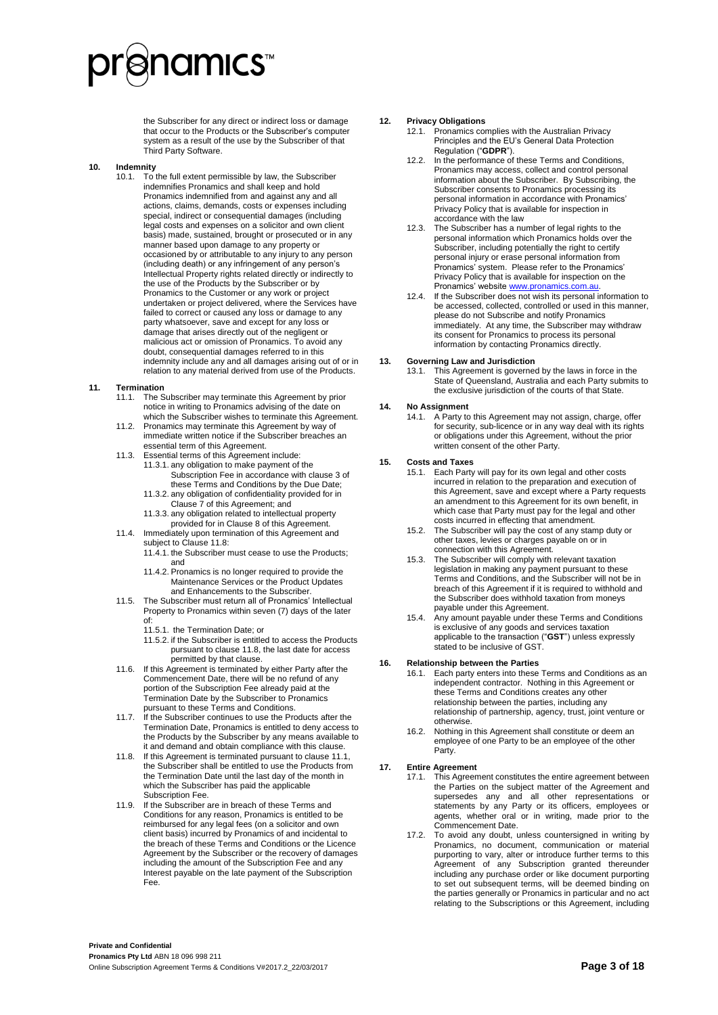# ≷namıcs

the Subscriber for any direct or indirect loss or damage that occur to the Products or the Subscriber's computer system as a result of the use by the Subscriber of that Third Party Software.

#### <span id="page-2-2"></span>**10. Indemnity**

10.1. To the full extent permissible by law, the Subscriber indemnifies Pronamics and shall keep and hold Pronamics indemnified from and against any and all actions, claims, demands, costs or expenses including special, indirect or consequential damages (including legal costs and expenses on a solicitor and own client basis) made, sustained, brought or prosecuted or in any manner based upon damage to any property or occasioned by or attributable to any injury to any person (including death) or any infringement of any person's Intellectual Property rights related directly or indirectly to the use of the Products by the Subscriber or by Pronamics to the Customer or any work or project undertaken or project delivered, where the Services have failed to correct or caused any loss or damage to any party whatsoever, save and except for any loss or damage that arises directly out of the negligent or malicious act or omission of Pronamics. To avoid any doubt, consequential damages referred to in this indemnity include any and all damages arising out of or in relation to any material derived from use of the Products.

#### <span id="page-2-1"></span>**11. Termination**

- 11.1. The Subscriber may terminate this Agreement by prior notice in writing to Pronamics advising of the date on which the Subscriber wishes to terminate this Agreement.
- 11.2. Pronamics may terminate this Agreement by way of immediate written notice if the Subscriber breaches an essential term of this Agreement.
- <span id="page-2-3"></span>11.3. Essential terms of this Agreement include: 11.3.1. any obligation to make payment of the Subscription Fee in accordance with claus[e 3](#page-0-0) of
	- these Terms and Conditions by the Due Date; 11.3.2. any obligation of confidentiality provided for in
	- Claus[e 7](#page-1-0) of this Agreement; and 11.3.3. any obligation related to intellectual property
- provided for in Clause [8](#page-1-4) of this Agreement. 11.4. Immediately upon termination of this Agreement and subject to Claus[e 11.8:](#page-2-0) 
	- 11.4.1. the Subscriber must cease to use the Products; and
	- 11.4.2. Pronamics is no longer required to provide the Maintenance Services or the Product Updates and Enhancements to the Subscriber.
- 11.5. The Subscriber must return all of Pronamics' Intellectual Property to Pronamics within seven (7) days of the later of:
	- 11.5.1. the Termination Date; or
	- 11.5.2. if the Subscriber is entitled to access the Products pursuant to clause [11.8,](#page-2-0) the last date for access permitted by that clause.
- 11.6. If this Agreement is terminated by either Party after the Commencement Date, there will be no refund of any portion of the Subscription Fee already paid at the Termination Date by the Subscriber to Pronamics pursuant to these Terms and Conditions.
- <span id="page-2-4"></span>11.7. If the Subscriber continues to use the Products after the Termination Date, Pronamics is entitled to deny access to the Products by the Subscriber by any means available to it and demand and obtain compliance with this clause.
- <span id="page-2-0"></span>11.8. If this Agreement is terminated pursuant to claus[e 11.1,](#page-2-1)  the Subscriber shall be entitled to use the Products from the Termination Date until the last day of the month in which the Subscriber has paid the applicable Subscription Fee.
- If the Subscriber are in breach of these Terms and Conditions for any reason, Pronamics is entitled to be reimbursed for any legal fees (on a solicitor and own client basis) incurred by Pronamics of and incidental to the breach of these Terms and Conditions or the Licence Agreement by the Subscriber or the recovery of damages including the amount of the Subscription Fee and any Interest payable on the late payment of the Subscription Fee.

#### **12. Privacy Obligations**

- 12.1. Pronamics complies with the Australian Privacy Principles and the EU's General Data Protection Regulation ("**GDPR**").
- 12.2. In the performance of these Terms and Conditions, Pronamics may access, collect and control personal information about the Subscriber. By Subscribing, the Subscriber consents to Pronamics processing its personal information in accordance with Pronamics' Privacy Policy that is available for inspection in accordance with the law
- 12.3. The Subscriber has a number of legal rights to the personal information which Pronamics holds over the Subscriber, including potentially the right to certify personal injury or erase personal information from Pronamics' system. Please refer to the Pronamics' Privacy Policy that is available for inspection on the Pronamics' website www.pronamics.com.au
- 12.4. If the Subscriber does not wish its personal information to be accessed, collected, controlled or used in this manner, please do not Subscribe and notify Pronamics immediately. At any time, the Subscriber may withdraw its consent for Pronamics to process its personal information by contacting Pronamics directly.

#### <span id="page-2-5"></span>**13. Governing Law and Jurisdiction**

13.1. This Agreement is governed by the laws in force in the State of Queensland, Australia and each Party submits to the exclusive jurisdiction of the courts of that State.

#### **14. No Assignment**

14.1. A Party to this Agreement may not assign, charge, offer for security, sub-licence or in any way deal with its rights or obligations under this Agreement, without the prior written consent of the other Party.

#### <span id="page-2-6"></span>**15. Costs and Taxes**

- 15.1. Each Party will pay for its own legal and other costs incurred in relation to the preparation and execution of this Agreement, save and except where a Party requests an amendment to this Agreement for its own benefit, in which case that Party must pay for the legal and other costs incurred in effecting that amendment.
- 15.2. The Subscriber will pay the cost of any stamp duty or other taxes, levies or charges payable on or in connection with this Agreement.
- 15.3. The Subscriber will comply with relevant taxation legislation in making any payment pursuant to these Terms and Conditions, and the Subscriber will not be in breach of this Agreement if it is required to withhold and the Subscriber does withhold taxation from moneys payable under this Agreement.
- 15.4. Any amount payable under these Terms and Conditions is exclusive of any goods and services taxation applicable to the transaction ("**GST**") unless expressly stated to be inclusive of GST.

#### **16. Relationship between the Parties**

- 16.1. Each party enters into these Terms and Conditions as an independent contractor. Nothing in this Agreement or these Terms and Conditions creates any other relationship between the parties, including any relationship of partnership, agency, trust, joint venture or otherwise.
- 16.2. Nothing in this Agreement shall constitute or deem an employee of one Party to be an employee of the other Party.

#### **17. Entire Agreement**

- 17.1. This Agreement constitutes the entire agreement between the Parties on the subject matter of the Agreement and supersedes any and all other representations or statements by any Party or its officers, employees or agents, whether oral or in writing, made prior to the Commencement Date.
- 17.2. To avoid any doubt, unless countersigned in writing by Pronamics, no document, communication or material purporting to vary, alter or introduce further terms to this Agreement of any Subscription granted thereunder including any purchase order or like document purporting to set out subsequent terms, will be deemed binding on the parties generally or Pronamics in particular and no act relating to the Subscriptions or this Agreement, including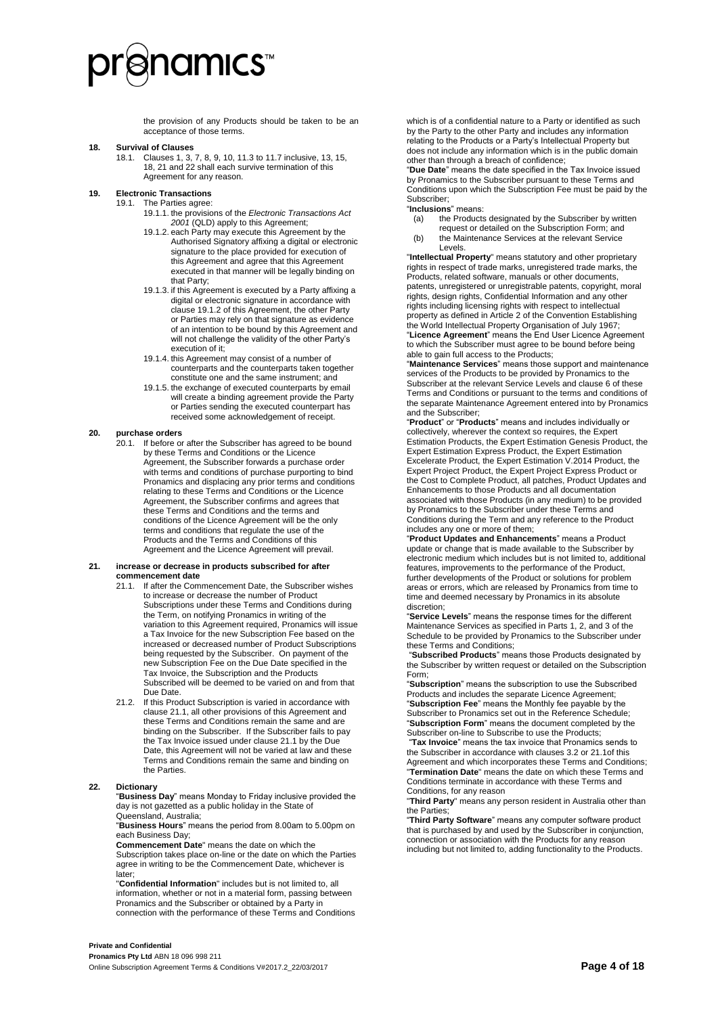# ≷namıcs

the provision of any Products should be taken to be an acceptance of those terms.

#### <span id="page-3-2"></span>**18. Survival of Clauses**

18.1. Clause[s 1,](#page-0-1) [3,](#page-0-0) [7,](#page-1-0) [8,](#page-1-4) [9,](#page-1-5) [10,](#page-2-2) [11.3](#page-2-3) t[o 11.7](#page-2-4) inclusive[, 13,](#page-2-5) [15,](#page-2-6)  [18,](#page-3-2) [21](#page-3-1) an[d 22](#page-3-0) shall each survive termination of this Agreement for any reason.

### **19. Electronic Transactions**

- <span id="page-3-3"></span>The Parties agree:
	- 19.1.1. the provisions of the *Electronic Transactions Act 2001* (QLD) apply to this Agreement;
	- 19.1.2. each Party may execute this Agreement by the Authorised Signatory affixing a digital or electronic signature to the place provided for execution of this Agreement and agree that this Agreement executed in that manner will be legally binding on that Party;
	- 19.1.3. if this Agreement is executed by a Party affixing a digital or electronic signature in accordance with clause [19.1.2](#page-3-3) of this Agreement, the other Party or Parties may rely on that signature as evidence of an intention to be bound by this Agreement and will not challenge the validity of the other Party's execution of it;
	- 19.1.4. this Agreement may consist of a number of counterparts and the counterparts taken together constitute one and the same instrument; and
	- 19.1.5. the exchange of executed counterparts by email will create a binding agreement provide the Party or Parties sending the executed counterpart has received some acknowledgement of receipt.

#### **20. purchase orders**

If before or after the Subscriber has agreed to be bound by these Terms and Conditions or the Licence Agreement, the Subscriber forwards a purchase order with terms and conditions of purchase purporting to bind Pronamics and displacing any prior terms and conditions relating to these Terms and Conditions or the Licence Agreement, the Subscriber confirms and agrees that these Terms and Conditions and the terms and conditions of the Licence Agreement will be the only terms and conditions that regulate the use of the Products and the Terms and Conditions of this Agreement and the Licence Agreement will prevail.

#### <span id="page-3-4"></span><span id="page-3-1"></span>**21. increase or decrease in products subscribed for after commencement date**

- 21.1. If after the Commencement Date, the Subscriber wishes to increase or decrease the number of Product Subscriptions under these Terms and Conditions during the Term, on notifying Pronamics in writing of the variation to this Agreement required, Pronamics will issue a Tax Invoice for the new Subscription Fee based on the increased or decreased number of Product Subscriptions being requested by the Subscriber. On payment of the new Subscription Fee on the Due Date specified in the Tax Invoice, the Subscription and the Products Subscribed will be deemed to be varied on and from that Due Date.
- 21.2. If this Product Subscription is varied in accordance with claus[e 21.1,](#page-3-4) all other provisions of this Agreement and these Terms and Conditions remain the same and are binding on the Subscriber. If the Subscriber fails to pay the Tax Invoice issued under claus[e 21.1](#page-3-4) by the Due Date, this Agreement will not be varied at law and these Terms and Conditions remain the same and binding on the Parties.

#### <span id="page-3-0"></span>**22. Dictionary**

"**Business Day**" means Monday to Friday inclusive provided the day is not gazetted as a public holiday in the State of Queensland, Australia;

"**Business Hours**" means the period from 8.00am to 5.00pm on each Business Day;

**Commencement Date**" means the date on which the Subscription takes place on-line or the date on which the Parties agree in writing to be the Commencement Date, whichever is later;

"**Confidential Information**" includes but is not limited to, all information, whether or not in a material form, passing between Pronamics and the Subscriber or obtained by a Party in connection with the performance of these Terms and Conditions

which is of a confidential nature to a Party or identified as such by the Party to the other Party and includes any information relating to the Products or a Party's Intellectual Property but does not include any information which is in the public domain other than through a breach of confidence;

"**Due Date**" means the date specified in the Tax Invoice issued by Pronamics to the Subscriber pursuant to these Terms and Conditions upon which the Subscription Fee must be paid by the Subscriber;

#### "**Inclusions**" means:

- (a) the Products designated by the Subscriber by written request or detailed on the Subscription Form; and
- (b) the Maintenance Services at the relevant Service Levels.

"**Intellectual Property**" means statutory and other proprietary rights in respect of trade marks, unregistered trade marks, the Products, related software, manuals or other documents, patents, unregistered or unregistrable patents, copyright, moral rights, design rights, Confidential Information and any other rights including licensing rights with respect to intellectual property as defined in Article 2 of the Convention Establishing the World Intellectual Property Organisation of July 1967; "**Licence Agreement**" means the End User Licence Agreement to which the Subscriber must agree to be bound before being able to gain full access to the Products;

"**Maintenance Services**" means those support and maintenance services of the Products to be provided by Pronamics to the Subscriber at the relevant Service Levels and claus[e 6](#page-1-6) of these Terms and Conditions or pursuant to the terms and conditions of the separate Maintenance Agreement entered into by Pronamics and the Subscriber;

"**Product**" or "**Products**" means and includes individually or collectively, wherever the context so requires, the Expert Estimation Products, the Expert Estimation Genesis Product, the Expert Estimation Express Product, the Expert Estimation Excelerate Product, the Expert Estimation V.2014 Product, the Expert Project Product, the Expert Project Express Product or the Cost to Complete Product, all patches, Product Updates and Enhancements to those Products and all documentation associated with those Products (in any medium) to be provided by Pronamics to the Subscriber under these Terms and Conditions during the Term and any reference to the Product includes any one or more of them;

"**Product Updates and Enhancements**" means a Product update or change that is made available to the Subscriber by electronic medium which includes but is not limited to, additional features, improvements to the performance of the Product, further developments of the Product or solutions for problem areas or errors, which are released by Pronamics from time to time and deemed necessary by Pronamics in its absolute discretion;

"**Service Levels**" means the response times for the different Maintenance Services as specified in Parts 1, 2, and 3 of the Schedule to be provided by Pronamics to the Subscriber under these Terms and Conditions;

"**Subscribed Products**" means those Products designated by the Subscriber by written request or detailed on the Subscription Form;

"**Subscription**" means the subscription to use the Subscribed Products and includes the separate Licence Agreement; "**Subscription Fee**" means the Monthly fee payable by the Subscriber to Pronamics set out in the Reference Schedule; "**Subscription Form**" means the document completed by the Subscriber on-line to Subscribe to use the Products;

"**Tax Invoice**" means the tax invoice that Pronamics sends to the Subscriber in accordance with clause[s 3.2](#page-0-2) or [21.1o](#page-3-4)f this Agreement and which incorporates these Terms and Conditions; "**Termination Date**" means the date on which these Terms and Conditions terminate in accordance with these Terms and Conditions, for any reason

"**Third Party**" means any person resident in Australia other than the Parties;

"**Third Party Software**" means any computer software product that is purchased by and used by the Subscriber in conjunction, connection or association with the Products for any reason including but not limited to, adding functionality to the Products.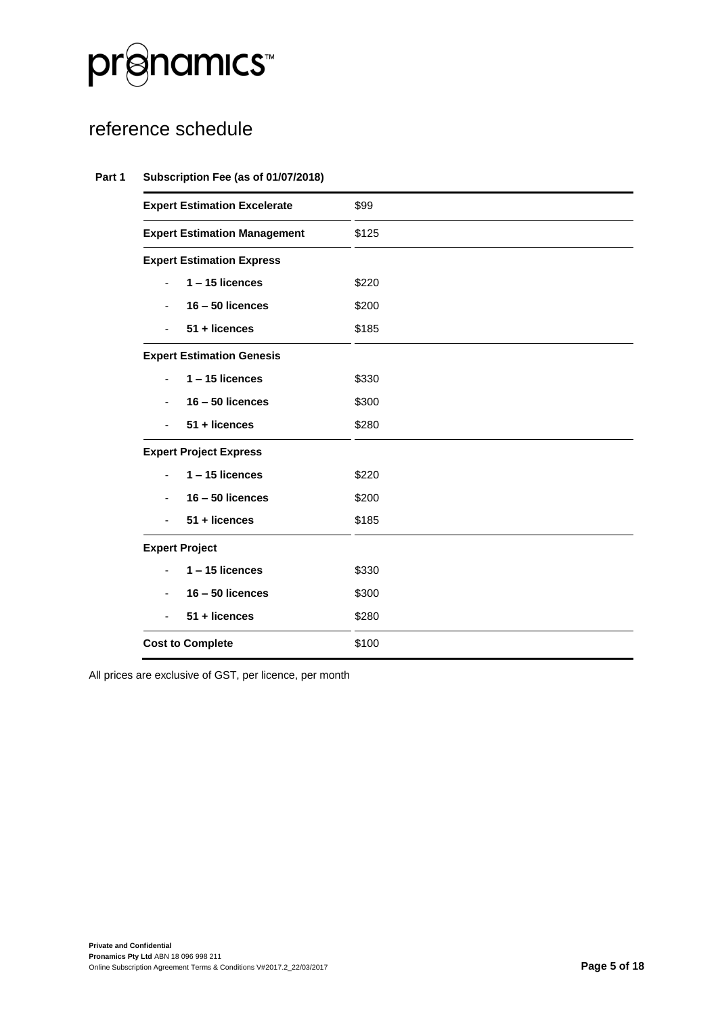

### reference schedule

#### **Part 1 Subscription Fee (as of 01/07/2018)**

| <b>Expert Estimation Excelerate</b> | \$99  |
|-------------------------------------|-------|
| <b>Expert Estimation Management</b> | \$125 |
| <b>Expert Estimation Express</b>    |       |
| $1 - 15$ licences                   | \$220 |
| $16 - 50$ licences                  | \$200 |
| 51 + licences                       | \$185 |
| <b>Expert Estimation Genesis</b>    |       |
| $1 - 15$ licences<br>Ξ.             | \$330 |
| $16 - 50$ licences                  | \$300 |
| 51 + licences                       | \$280 |
| <b>Expert Project Express</b>       |       |
| $1 - 15$ licences                   | \$220 |
| $16 - 50$ licences                  | \$200 |
| 51 + licences                       | \$185 |
| <b>Expert Project</b>               |       |
| $1 - 15$ licences                   | \$330 |
| $16 - 50$ licences                  | \$300 |
| 51 + licences                       | \$280 |
| <b>Cost to Complete</b>             | \$100 |
|                                     |       |

All prices are exclusive of GST, per licence, per month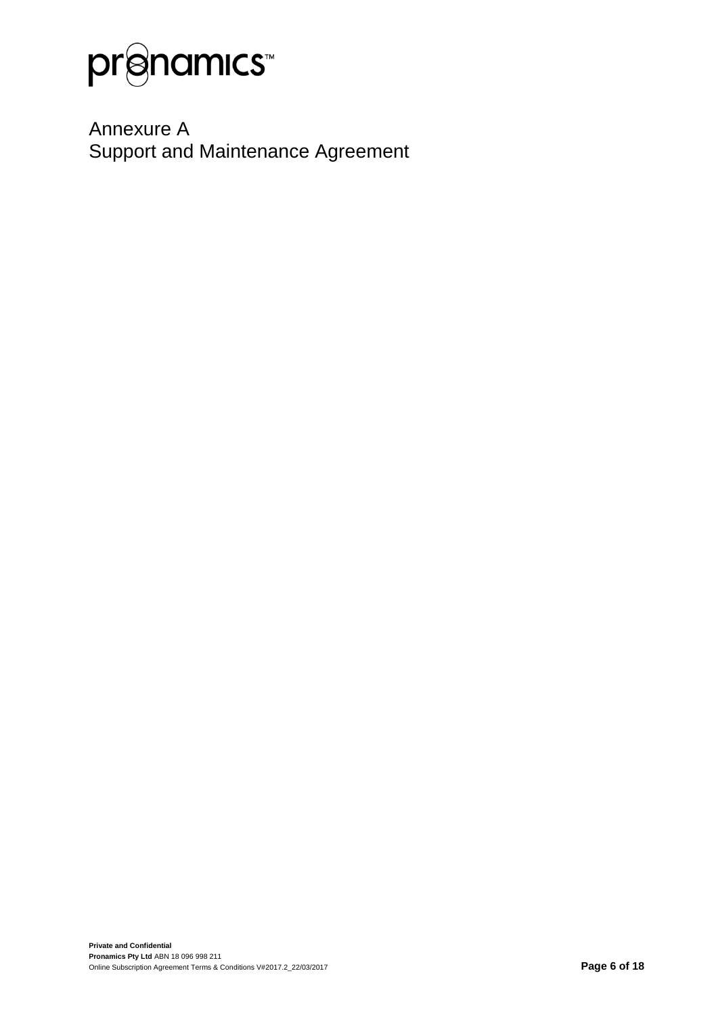

Annexure A Support and Maintenance Agreement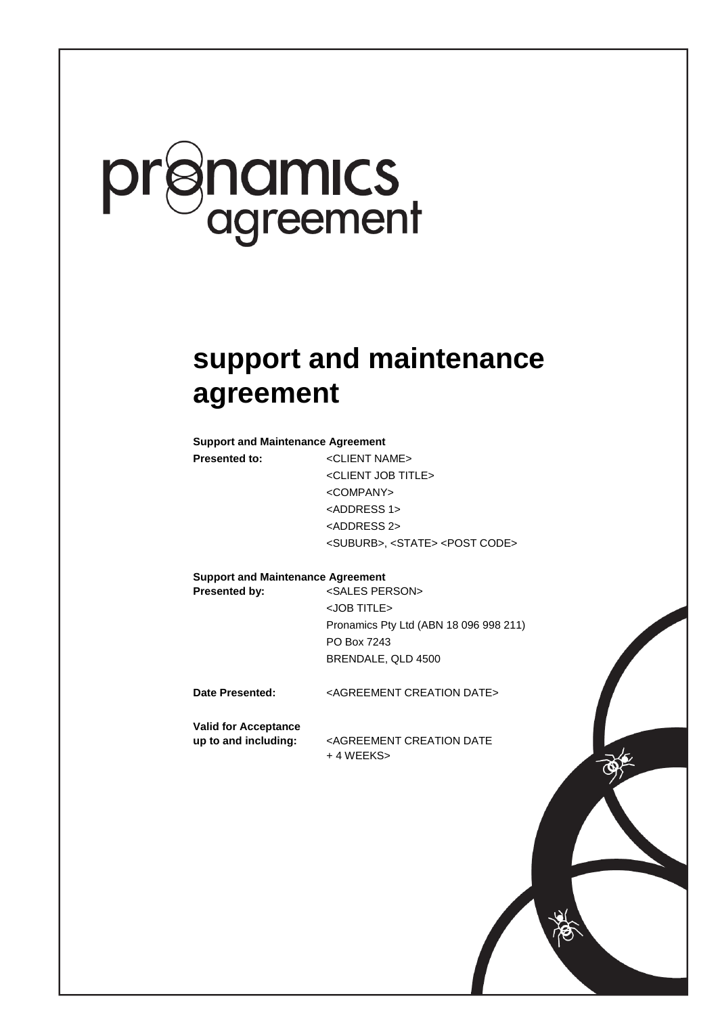# pr**enamics**<br>agreement

### **support and maintenance agreement**

**Support and Maintenance Agreement**

**Presented to:** <CLIENT NAME> <CLIENT JOB TITLE> <COMPANY> <ADDRESS 1> <ADDRESS 2> <SUBURB>, <STATE> <POST CODE>

**Support and Maintenance Agreement**

Presented by: <SALES PERSON> <JOB TITLE> Pronamics Pty Ltd (ABN 18 096 998 211) PO Box 7243 BRENDALE, QLD 4500

B:6017059\_1 JRI

**Date Presented:** <AGREEMENT CREATION DATE>

**Valid for Acceptance**

**up to and including:** <AGREEMENT CREATION DATE + 4 WEEKS>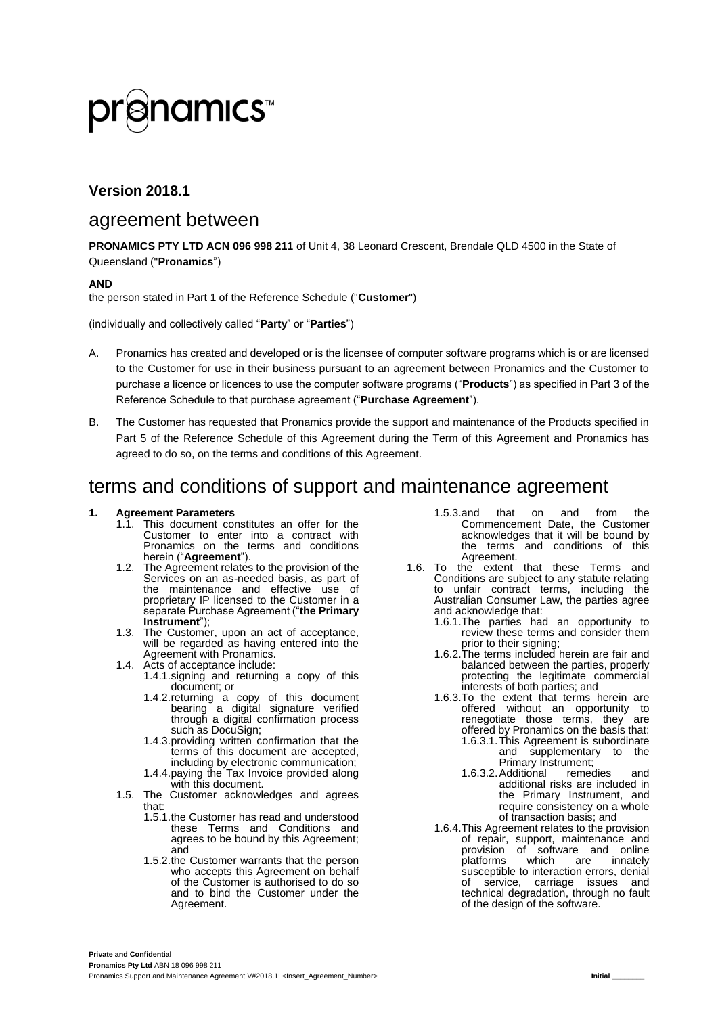# **©namıcs™**

#### **Version 2018.1**

### agreement between

**PRONAMICS PTY LTD ACN 096 998 211** of Unit 4, 38 Leonard Crescent, Brendale QLD 4500 in the State of Queensland ("**Pronamics**")

#### **AND**

the person stated in Part 1 of the Reference Schedule ("**Customer**")

(individually and collectively called "**Party**" or "**Parties**")

- A. Pronamics has created and developed or is the licensee of computer software programs which is or are licensed to the Customer for use in their business pursuant to an agreement between Pronamics and the Customer to purchase a licence or licences to use the computer software programs ("**Products**") as specified in Part 3 of the Reference Schedule to that purchase agreement ("**Purchase Agreement**").
- B. The Customer has requested that Pronamics provide the support and maintenance of the Products specified in Part 5 of the Reference Schedule of this Agreement during the Term of this Agreement and Pronamics has agreed to do so, on the terms and conditions of this Agreement.

### terms and conditions of support and maintenance agreement

#### **1. Agreement Parameters**

- This document constitutes an offer for the Customer to enter into a contract with Pronamics on the terms and conditions herein ("**Agreement**").
- 1.2. The Agreement relates to the provision of the Services on an as-needed basis, as part of the maintenance and effective use of proprietary IP licensed to the Customer in a separate Purchase Agreement ("**the Primary Instrument**");
- 1.3. The Customer, upon an act of acceptance, will be regarded as having entered into the Agreement with Pronamics.
- 1.4. Acts of acceptance include:
	- 1.4.1.signing and returning a copy of this document; or
	- 1.4.2.returning a copy of this document bearing a digital signature verified through a digital confirmation process such as DocuSign;
	- 1.4.3.providing written confirmation that the terms of this document are accepted, including by electronic communication;
	- 1.4.4.paying the Tax Invoice provided along with this document.
- 1.5. The Customer acknowledges and agrees that:
	- 1.5.1.the Customer has read and understood these Terms and Conditions and agrees to be bound by this Agreement; and
	- 1.5.2.the Customer warrants that the person who accepts this Agreement on behalf of the Customer is authorised to do so and to bind the Customer under the Agreement.
- 1.5.3.and that on and from the Commencement Date, the Customer acknowledges that it will be bound by the terms and conditions of this Agreement.
- 1.6. To the extent that these Terms and Conditions are subject to any statute relating to unfair contract terms, including the Australian Consumer Law, the parties agree and acknowledge that:
	- 1.6.1.The parties had an opportunity to review these terms and consider them prior to their signing;
	- 1.6.2.The terms included herein are fair and balanced between the parties, properly protecting the legitimate commercial interests of both parties; and
	- 1.6.3.To the extent that terms herein are offered without an opportunity to renegotiate those terms, they are offered by Pronamics on the basis that: 1.6.3.1.This Agreement is subordinate
		- and supplementary to the Primary Instrument;<br>Additional remedies
		- 1.6.3.2.Additional remedies and additional risks are included in the Primary Instrument, and require consistency on a whole of transaction basis; and
	- 1.6.4.This Agreement relates to the provision of repair, support, maintenance and provision of software and online<br>platforms which are innately platforms susceptible to interaction errors, denial of service, carriage issues and technical degradation, through no fault of the design of the software.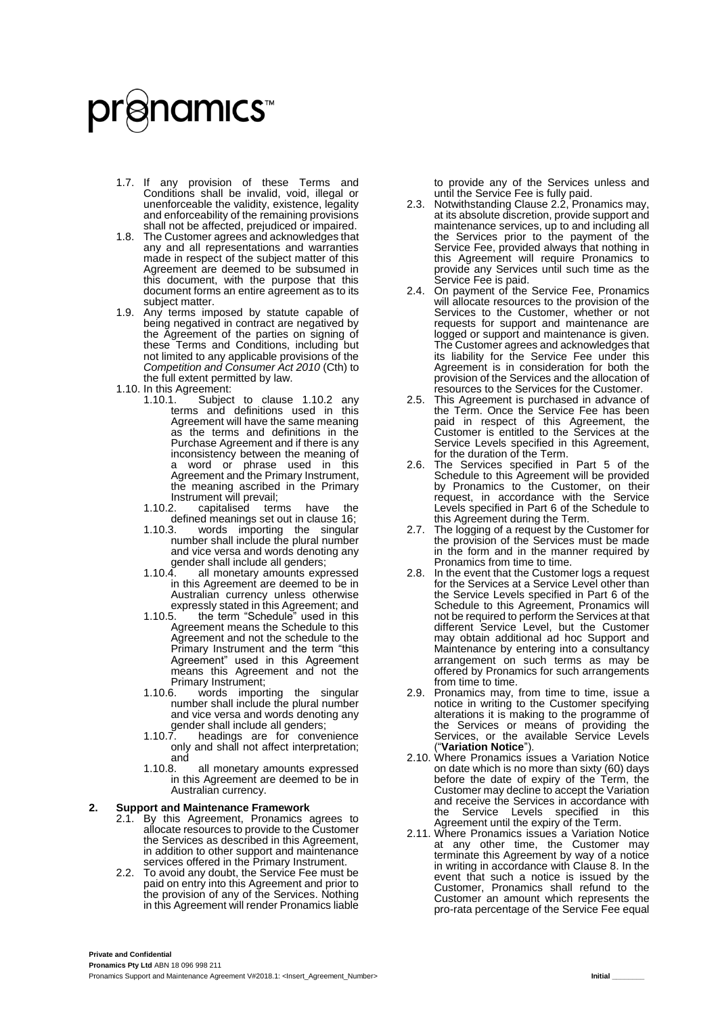# **anamıcs™**

- 1.7. If any provision of these Terms and Conditions shall be invalid, void, illegal or unenforceable the validity, existence, legality and enforceability of the remaining provisions shall not be affected, prejudiced or impaired.
- 1.8. The Customer agrees and acknowledges that any and all representations and warranties made in respect of the subject matter of this Agreement are deemed to be subsumed in this document, with the purpose that this document forms an entire agreement as to its subject matter.
- 1.9. Any terms imposed by statute capable of being negatived in contract are negatived by the Agreement of the parties on signing of these Terms and Conditions, including but not limited to any applicable provisions of the *Competition and Consumer Act 2010* (Cth) to the full extent permitted by law.
- <span id="page-8-0"></span>1.10. In this Agreement:<br>1.10.1. Subject
	- 1.10.1. Subject to clause [1.10.2](#page-8-0) any terms and definitions used in this Agreement will have the same meaning as the terms and definitions in the Purchase Agreement and if there is any inconsistency between the meaning of a word or phrase used in this Agreement and the Primary Instrument, the meaning ascribed in the Primary Instrument will prevail;<br>1.10.2. capitalised terr
		- terms have the
		- defined meanings set out in clause [16;](#page-12-0)<br>110.3 words importing the singular words importing the singular number shall include the plural number and vice versa and words denoting any gender shall include all genders;
		- 1.10.4. all monetary amounts expressed in this Agreement are deemed to be in Australian currency unless otherwise expressly stated in this Agreement; and
		- 1.10.5. the term "Schedule" used in this Agreement means the Schedule to this Agreement and not the schedule to the Primary Instrument and the term "this Agreement" used in this Agreement means this Agreement and not the Primary Instrument;<br>1.10.6. words impor
		- words importing the singular number shall include the plural number and vice versa and words denoting any gender shall include all genders;
		- 1.10.7. headings are for convenience only and shall not affect interpretation; and<br>1.10.8.
		- all monetary amounts expressed in this Agreement are deemed to be in Australian currency.

#### **2. Support and Maintenance Framework**

- 2.1. By this Agreement, Pronamics agrees to allocate resources to provide to the Customer the Services as described in this Agreement, in addition to other support and maintenance services offered in the Primary Instrument.
- 2.2. To avoid any doubt, the Service Fee must be paid on entry into this Agreement and prior to the provision of any of the Services. Nothing in this Agreement will render Pronamics liable

to provide any of the Services unless and until the Service Fee is fully paid.

- 2.3. Notwithstanding Clause 2.2, Pronamics may, at its absolute discretion, provide support and maintenance services, up to and including all the Services prior to the payment of the Service Fee, provided always that nothing in this Agreement will require Pronamics to provide any Services until such time as the Service Fee is paid.
- 2.4. On payment of the Service Fee, Pronamics will allocate resources to the provision of the Services to the Customer, whether or not requests for support and maintenance are logged or support and maintenance is given. The Customer agrees and acknowledges that its liability for the Service Fee under this Agreement is in consideration for both the provision of the Services and the allocation of resources to the Services for the Customer.
- 2.5. This Agreement is purchased in advance of the Term. Once the Service Fee has been paid in respect of this Agreement, the Customer is entitled to the Services at the Service Levels specified in this Agreement, for the duration of the Term.
- 2.6. The Services specified in Part 5 of the Schedule to this Agreement will be provided by Pronamics to the Customer, on their request, in accordance with the Service Levels specified in Part 6 of the Schedule to this Agreement during the Term.
- 2.7. The logging of a request by the Customer for the provision of the Services must be made in the form and in the manner required by Pronamics from time to time.
- 2.8. In the event that the Customer logs a request for the Services at a Service Level other than the Service Levels specified in Part 6 of the Schedule to this Agreement, Pronamics will not be required to perform the Services at that different Service Level, but the Customer may obtain additional ad hoc Support and Maintenance by entering into a consultancy arrangement on such terms as may be offered by Pronamics for such arrangements from time to time.
- 2.9. Pronamics may, from time to time, issue a notice in writing to the Customer specifying alterations it is making to the programme of the Services or means of providing the Services, or the available Service Levels ("**Variation Notice**").
- 2.10. Where Pronamics issues a Variation Notice on date which is no more than sixty (60) days before the date of expiry of the Term, the Customer may decline to accept the Variation and receive the Services in accordance with<br>the Service Levels specified in this the Service Levels specified in this Agreement until the expiry of the Term.
- 2.11. Where Pronamics issues a Variation Notice at any other time, the Customer may terminate this Agreement by way of a notice in writing in accordance with Clause 8. In the event that such a notice is issued by the Customer, Pronamics shall refund to the Customer an amount which represents the pro-rata percentage of the Service Fee equal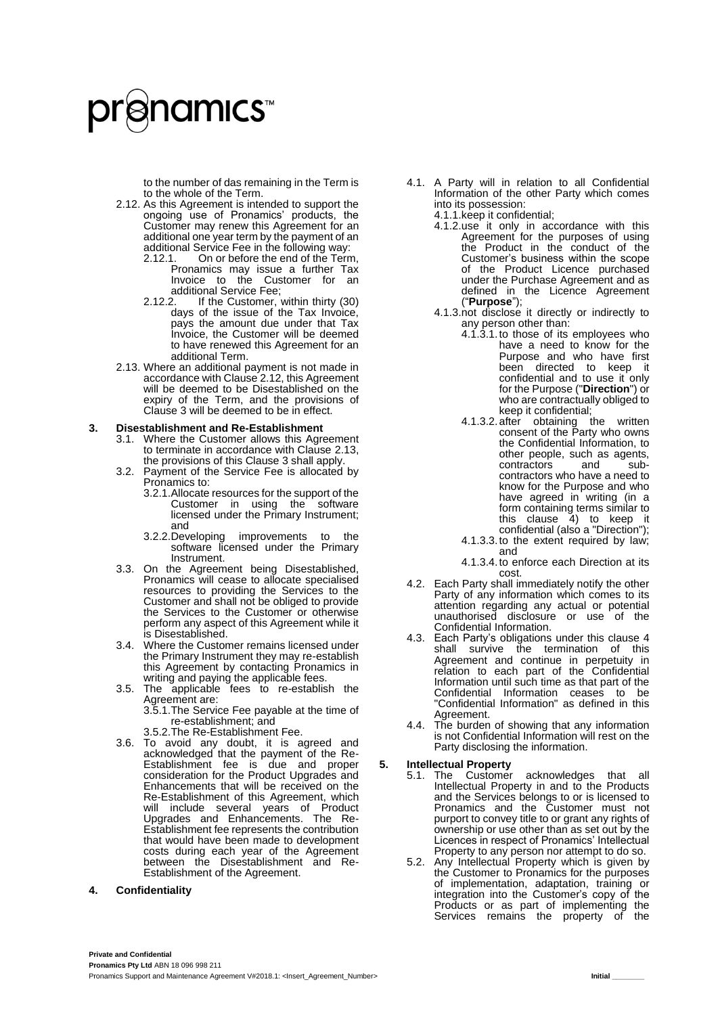to the number of das remaining in the Term is to the whole of the Term.

- <span id="page-9-0"></span>2.12. As this Agreement is intended to support the ongoing use of Pronamics' products, the Customer may renew this Agreement for an additional one year term by the payment of an additional Service Fee in the following way:
	- 2.12.1. On or before the end of the Term, Pronamics may issue a further Tax Invoice to the Customer for an additional Service Fee;<br>2.12.2. If the Customer.
	- 2.12.2. If the Customer, within thirty (30) days of the issue of the Tax Invoice, pays the amount due under that Tax Invoice, the Customer will be deemed to have renewed this Agreement for an additional Term.
- <span id="page-9-1"></span>2.13. Where an additional payment is not made in accordance with Claus[e 2.12,](#page-9-0) this Agreement will be deemed to be Disestablished on the expiry of the Term, and the provisions of Clause 3 will be deemed to be in effect.

#### **3. Disestablishment and Re-Establishment**

- 3.1. Where the Customer allows this Agreement to terminate in accordance with Clause [2.13,](#page-9-1) the provisions of this Clause 3 shall apply.
- 3.2. Payment of the Service Fee is allocated by Pronamics to:
	- 3.2.1.Allocate resources for the support of the Customer in using the software licensed under the Primary Instrument; and<br>3.2.2.Developing
	- improvements to the software licensed under the Primary Instrument.
- 3.3. On the Agreement being Disestablished, Pronamics will cease to allocate specialised resources to providing the Services to the Customer and shall not be obliged to provide the Services to the Customer or otherwise perform any aspect of this Agreement while it is Disestablished.
- 3.4. Where the Customer remains licensed under the Primary Instrument they may re-establish this Agreement by contacting Pronamics in writing and paying the applicable fees.
- 3.5. The applicable fees to re-establish the Agreement are:
	- 3.5.1.The Service Fee payable at the time of re-establishment; and
	- 3.5.2.The Re-Establishment Fee.
- 3.6. To avoid any doubt, it is agreed and acknowledged that the payment of the Re-Establishment fee is due and proper consideration for the Product Upgrades and Enhancements that will be received on the Re-Establishment of this Agreement, which will include several years of Product Upgrades and Enhancements. The Re-Establishment fee represents the contribution that would have been made to development costs during each year of the Agreement between the Disestablishment and Re-Establishment of the Agreement.

#### **4. Confidentiality**

- 4.1. A Party will in relation to all Confidential Information of the other Party which comes into its possession:
	- 4.1.1.keep it confidential;
	- 4.1.2.use it only in accordance with this Agreement for the purposes of using the Product in the conduct of the Customer's business within the scope of the Product Licence purchased under the Purchase Agreement and as defined in the Licence Agreement ("**Purpose**");
	- 4.1.3.not disclose it directly or indirectly to any person other than:
		- 4.1.3.1.to those of its employees who have a need to know for the Purpose and who have first been directed to keep it confidential and to use it only for the Purpose ("**Direction**") or who are contractually obliged to keep it confidential;
		- 4.1.3.2.after obtaining the written consent of the Party who owns the Confidential Information, to other people, such as agents,<br>contractors and subcontractors and subcontractors who have a need to know for the Purpose and who have agreed in writing (in a form containing terms similar to this clause 4) to keep it confidential (also a "Direction");
		- 4.1.3.3.to the extent required by law; and
		- 4.1.3.4.to enforce each Direction at its cost.
- 4.2. Each Party shall immediately notify the other Party of any information which comes to its attention regarding any actual or potential unauthorised disclosure or use of the Confidential Information.
- 4.3. Each Party's obligations under this clause 4 shall survive the termination of this Agreement and continue in perpetuity in relation to each part of the Confidential Information until such time as that part of the Confidential Information ceases to be "Confidential Information" as defined in this Agreement.
- 4.4. The burden of showing that any information is not Confidential Information will rest on the Party disclosing the information.

#### **5. Intellectual Property**

- 5.1. The Customer acknowledges that all Intellectual Property in and to the Products and the Services belongs to or is licensed to Pronamics and the Customer must not purport to convey title to or grant any rights of ownership or use other than as set out by the Licences in respect of Pronamics' Intellectual Property to any person nor attempt to do so.
- 5.2. Any Intellectual Property which is given by the Customer to Pronamics for the purposes of implementation, adaptation, training or integration into the Customer's copy of the Products or as part of implementing the Services remains the property of the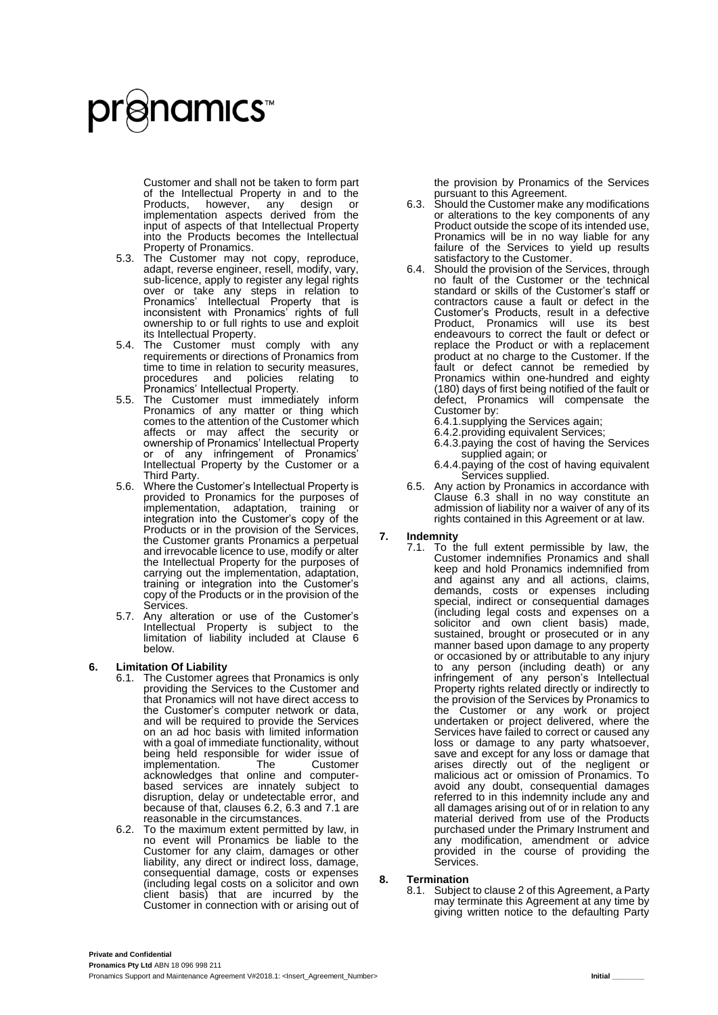Customer and shall not be taken to form part of the Intellectual Property in and to the<br>Products, however, any design or Products, however, any design or implementation aspects derived from the input of aspects of that Intellectual Property into the Products becomes the Intellectual Property of Pronamics.

- 5.3. The Customer may not copy, reproduce, adapt, reverse engineer, resell, modify, vary, sub-licence, apply to register any legal rights over or take any steps in relation to Pronamics' Intellectual Property that is inconsistent with Pronamics' rights of full ownership to or full rights to use and exploit its Intellectual Property.
- 5.4. The Customer must comply with any requirements or directions of Pronamics from time to time in relation to security measures,<br>procedures and policies relating to procedures and policies relating to Pronamics' Intellectual Property.
- 5.5. The Customer must immediately inform Pronamics of any matter or thing which comes to the attention of the Customer which affects or may affect the security or ownership of Pronamics' Intellectual Property or of any infringement of Pronamics' Intellectual Property by the Customer or a Third Party.
- 5.6. Where the Customer's Intellectual Property is provided to Pronamics for the purposes of implementation, adaptation, training or integration into the Customer's copy of the Products or in the provision of the Services, the Customer grants Pronamics a perpetual and irrevocable licence to use, modify or alter the Intellectual Property for the purposes of carrying out the implementation, adaptation, training or integration into the Customer's copy of the Products or in the provision of the Services.
- 5.7. Any alteration or use of the Customer's Intellectual Property is subject to the limitation of liability included at Clause 6 below.

#### **6. Limitation Of Liability**

- 6.1. The Customer agrees that Pronamics is only providing the Services to the Customer and that Pronamics will not have direct access to the Customer's computer network or data, and will be required to provide the Services on an ad hoc basis with limited information with a goal of immediate functionality, without being held responsible for wider issue of<br>implementation. The Customer implementation. acknowledges that online and computerbased services are innately subject to disruption, delay or undetectable error, and because of that, clauses 6.2, 6.3 and 7.1 are reasonable in the circumstances.
- 6.2. To the maximum extent permitted by law, in no event will Pronamics be liable to the Customer for any claim, damages or other liability, any direct or indirect loss, damage, consequential damage, costs or expenses (including legal costs on a solicitor and own client basis) that are incurred by the Customer in connection with or arising out of

the provision by Pronamics of the Services pursuant to this Agreement.

- 6.3. Should the Customer make any modifications or alterations to the key components of any Product outside the scope of its intended use, Pronamics will be in no way liable for any failure of the Services to yield up results satisfactory to the Customer.
- 6.4. Should the provision of the Services, through no fault of the Customer or the technical standard or skills of the Customer's staff or contractors cause a fault or defect in the Customer's Products, result in a defective Product, Pronamics will use its best endeavours to correct the fault or defect or replace the Product or with a replacement product at no charge to the Customer. If the fault or defect cannot be remedied by Pronamics within one-hundred and eighty (180) days of first being notified of the fault or defect, Pronamics will compensate the Customer by:
	- 6.4.1.supplying the Services again;
	- 6.4.2.providing equivalent Services;
	- 6.4.3.paying the cost of having the Services supplied again; or
	- 6.4.4.paying of the cost of having equivalent Services supplied.
- 6.5. Any action by Pronamics in accordance with Clause 6.3 shall in no way constitute an admission of liability nor a waiver of any of its rights contained in this Agreement or at law.

#### **7. Indemnity**

7.1. To the full extent permissible by law, the Customer indemnifies Pronamics and shall keep and hold Pronamics indemnified from and against any and all actions, claims, demands, costs or expenses including special, indirect or consequential damages (including legal costs and expenses on a solicitor and own client basis) made, sustained, brought or prosecuted or in any manner based upon damage to any property or occasioned by or attributable to any injury to any person (including death) or any infringement of any person's Intellectual Property rights related directly or indirectly to the provision of the Services by Pronamics to the Customer or any work or project undertaken or project delivered, where the Services have failed to correct or caused any loss or damage to any party whatsoever, save and except for any loss or damage that arises directly out of the negligent or malicious act or omission of Pronamics. To avoid any doubt, consequential damages referred to in this indemnity include any and all damages arising out of or in relation to any material derived from use of the Products purchased under the Primary Instrument and any modification, amendment or advice provided in the course of providing the Services.

#### **8. Termination**

8.1. Subject to clause 2 of this Agreement, a Party may terminate this Agreement at any time by giving written notice to the defaulting Party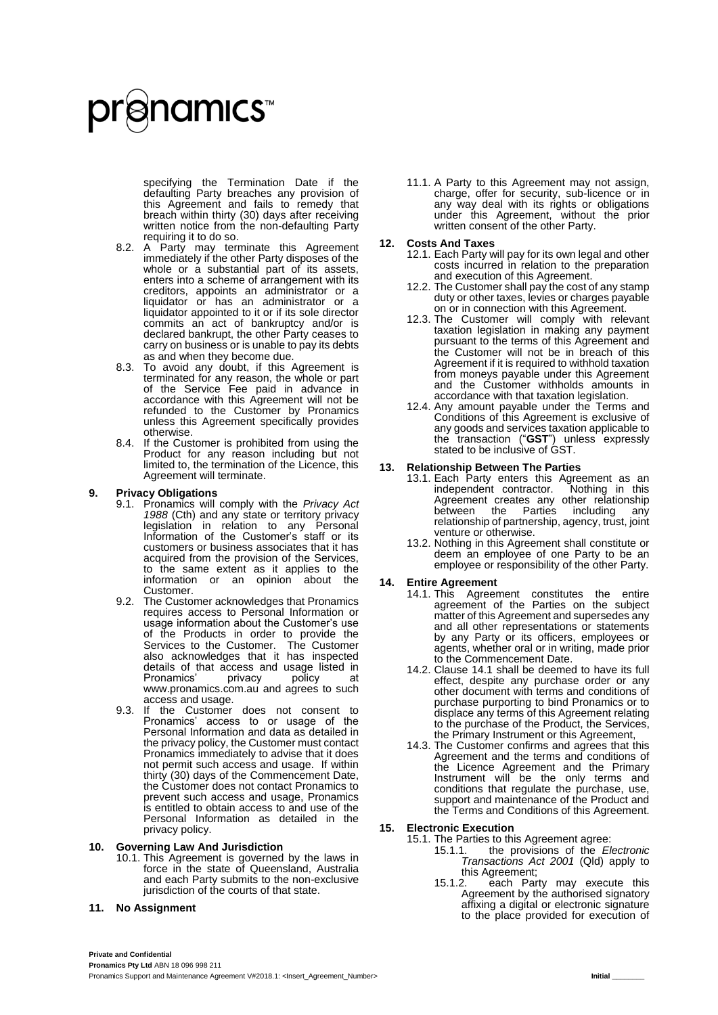specifying the Termination Date if the defaulting Party breaches any provision of this Agreement and fails to remedy that breach within thirty (30) days after receiving written notice from the non-defaulting Party requiring it to do so.

- 8.2. A Party may terminate this Agreement immediately if the other Party disposes of the whole or a substantial part of its assets, enters into a scheme of arrangement with its creditors, appoints an administrator or a liquidator or has an administrator or a liquidator appointed to it or if its sole director commits an act of bankruptcy and/or is declared bankrupt, the other Party ceases to carry on business or is unable to pay its debts as and when they become due.
- 8.3. To avoid any doubt, if this Agreement is terminated for any reason, the whole or part of the Service Fee paid in advance in accordance with this Agreement will not be refunded to the Customer by Pronamics unless this Agreement specifically provides otherwise.
- If the Customer is prohibited from using the Product for any reason including but not limited to, the termination of the Licence, this Agreement will terminate.

#### **9. Privacy Obligations**

- 9.1. Pronamics will comply with the *Privacy Act 1988* (Cth) and any state or territory privacy legislation in relation to any Personal Information of the Customer's staff or its customers or business associates that it has acquired from the provision of the Services, to the same extent as it applies to the information or an opinion about the Customer.
- 9.2. The Customer acknowledges that Pronamics requires access to Personal Information or usage information about the Customer's use of the Products in order to provide the Services to the Customer. The Customer also acknowledges that it has inspected details of that access and usage listed in<br>Pronamics' privacy policy at Pronamics' privacy policy at [www.pronamics.com.au](http://www.pronamics.com.au/) and agrees to such access and usage.
- 9.3. If the Customer does not consent to Pronamics' access to or usage of the Personal Information and data as detailed in the privacy policy, the Customer must contact Pronamics immediately to advise that it does not permit such access and usage. If within thirty (30) days of the Commencement Date, the Customer does not contact Pronamics to prevent such access and usage, Pronamics is entitled to obtain access to and use of the Personal Information as detailed in the privacy policy.

#### **10. Governing Law And Jurisdiction**

10.1. This Agreement is governed by the laws in force in the state of Queensland, Australia and each Party submits to the non-exclusive jurisdiction of the courts of that state.

#### **11. No Assignment**

11.1. A Party to this Agreement may not assign, charge, offer for security, sub-licence or in any way deal with its rights or obligations under this Agreement, without the prior written consent of the other Party.

#### **12. Costs And Taxes**

- 12.1. Each Party will pay for its own legal and other costs incurred in relation to the preparation and execution of this Agreement.
- 12.2. The Customer shall pay the cost of any stamp duty or other taxes, levies or charges payable on or in connection with this Agreement.
- 12.3. The Customer will comply with relevant taxation legislation in making any payment pursuant to the terms of this Agreement and the Customer will not be in breach of this Agreement if it is required to withhold taxation from moneys payable under this Agreement and the Customer withholds amounts in accordance with that taxation legislation.
- 12.4. Any amount payable under the Terms and Conditions of this Agreement is exclusive of any goods and services taxation applicable to the transaction ("**GST**") unless expressly stated to be inclusive of GST.

#### **13. Relationship Between The Parties**

- 13.1. Each Party enters this Agreement as an independent contractor. Nothing in this Agreement creates any other relationship<br>between the Parties including any the Parties relationship of partnership, agency, trust, joint venture or otherwise.
- 13.2. Nothing in this Agreement shall constitute or deem an employee of one Party to be an employee or responsibility of the other Party.

#### **14. Entire Agreement**

- 14.1. This Agreement constitutes the entire agreement of the Parties on the subject matter of this Agreement and supersedes any and all other representations or statements by any Party or its officers, employees or agents, whether oral or in writing, made prior to the Commencement Date.
- 14.2. Clause 14.1 shall be deemed to have its full effect, despite any purchase order or any other document with terms and conditions of purchase purporting to bind Pronamics or to displace any terms of this Agreement relating to the purchase of the Product, the Services, the Primary Instrument or this Agreement,
- 14.3. The Customer confirms and agrees that this Agreement and the terms and conditions of the Licence Agreement and the Primary Instrument will be the only terms and conditions that regulate the purchase, use, support and maintenance of the Product and the Terms and Conditions of this Agreement.

#### **15. Electronic Execution**

- <span id="page-11-0"></span>15.1. The Parties to this Agreement agree:<br>15.1.1. the provisions of the El
	- 15.1.1. the provisions of the *Electronic Transactions Act 2001* (Qld) apply to this Agreement;<br>15.1.2. each Par
	- each Party may execute this Agreement by the authorised signatory affixing a digital or electronic signature to the place provided for execution of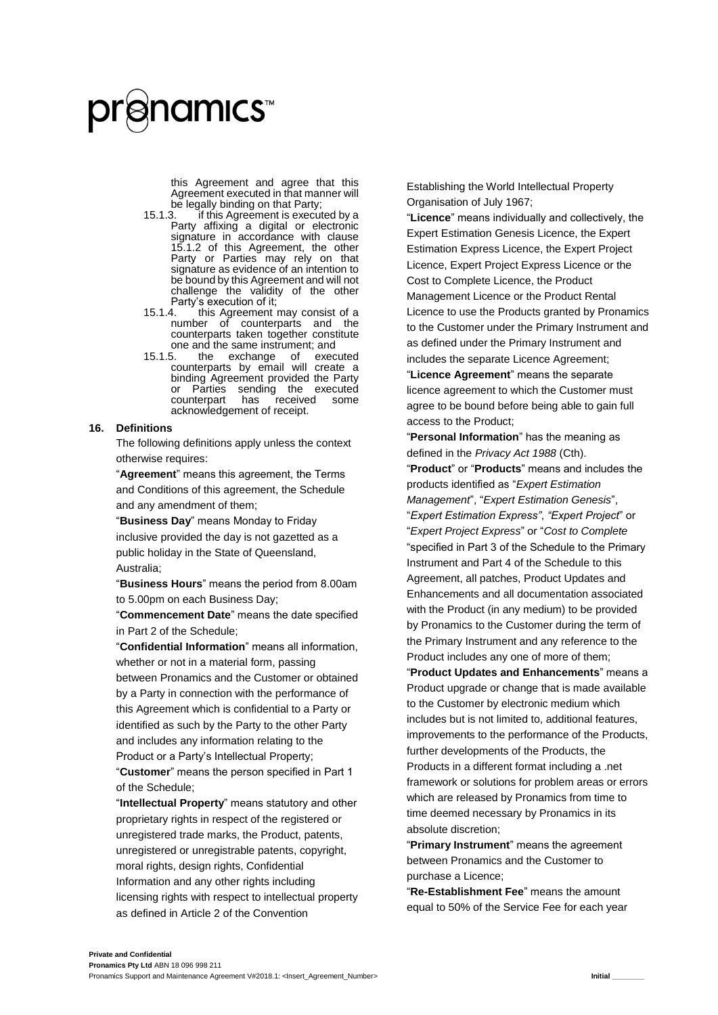this Agreement and agree that this Agreement executed in that manner will be legally binding on that Party;<br>15.1.3. if this Agreement is execut

- if this Agreement is executed by a Party affixing a digital or electronic signature in accordance with clause [15.1.2](#page-11-0) of this Agreement, the other Party or Parties may rely on that signature as evidence of an intention to be bound by this Agreement and will not challenge the validity of the other Party's execution of it;<br>15.1.4. this Agreement
- this Agreement may consist of a number of counterparts and the counterparts taken together constitute
- one and the same instrument; and<br>15.1.5. the exchange of executed 15.1.5. the exchange of executed counterparts by email will create a binding Agreement provided the Party or Parties sending the executed<br>counterpart has received some counterpart acknowledgement of receipt.

#### <span id="page-12-0"></span>**16. Definitions**

The following definitions apply unless the context otherwise requires:

"**Agreement**" means this agreement, the Terms and Conditions of this agreement, the Schedule and any amendment of them;

"**Business Day**" means Monday to Friday inclusive provided the day is not gazetted as a public holiday in the State of Queensland, Australia;

"**Business Hours**" means the period from 8.00am to 5.00pm on each Business Day;

"**Commencement Date**" means the date specified in Part 2 of the Schedule;

"**Confidential Information**" means all information, whether or not in a material form, passing between Pronamics and the Customer or obtained by a Party in connection with the performance of this Agreement which is confidential to a Party or identified as such by the Party to the other Party and includes any information relating to the Product or a Party's Intellectual Property; "**Customer**" means the person specified in Part 1

of the Schedule; "**Intellectual Property**" means statutory and other

proprietary rights in respect of the registered or unregistered trade marks, the Product, patents, unregistered or unregistrable patents, copyright, moral rights, design rights, Confidential Information and any other rights including licensing rights with respect to intellectual property as defined in Article 2 of the Convention

Establishing the World Intellectual Property Organisation of July 1967;

"**Licence**" means individually and collectively, the Expert Estimation Genesis Licence, the Expert Estimation Express Licence, the Expert Project Licence, Expert Project Express Licence or the Cost to Complete Licence, the Product Management Licence or the Product Rental Licence to use the Products granted by Pronamics to the Customer under the Primary Instrument and as defined under the Primary Instrument and includes the separate Licence Agreement;

"**Licence Agreement**" means the separate licence agreement to which the Customer must agree to be bound before being able to gain full access to the Product;

"**Personal Information**" has the meaning as defined in the *Privacy Act 1988* (Cth).

"**Product**" or "**Products**" means and includes the products identified as "*Expert Estimation Management*", "*Expert Estimation Genesis*", "*Expert Estimation Express"*, *"Expert Project*" or "*Expert Project Express*" or "*Cost to Complete* "specified in Part 3 of the Schedule to the Primary Instrument and Part 4 of the Schedule to this Agreement, all patches, Product Updates and Enhancements and all documentation associated with the Product (in any medium) to be provided by Pronamics to the Customer during the term of the Primary Instrument and any reference to the Product includes any one of more of them;

"**Product Updates and Enhancements**" means a Product upgrade or change that is made available to the Customer by electronic medium which includes but is not limited to, additional features, improvements to the performance of the Products, further developments of the Products, the Products in a different format including a .net framework or solutions for problem areas or errors which are released by Pronamics from time to time deemed necessary by Pronamics in its absolute discretion;

"**Primary Instrument**" means the agreement between Pronamics and the Customer to purchase a Licence;

"**Re-Establishment Fee**" means the amount equal to 50% of the Service Fee for each year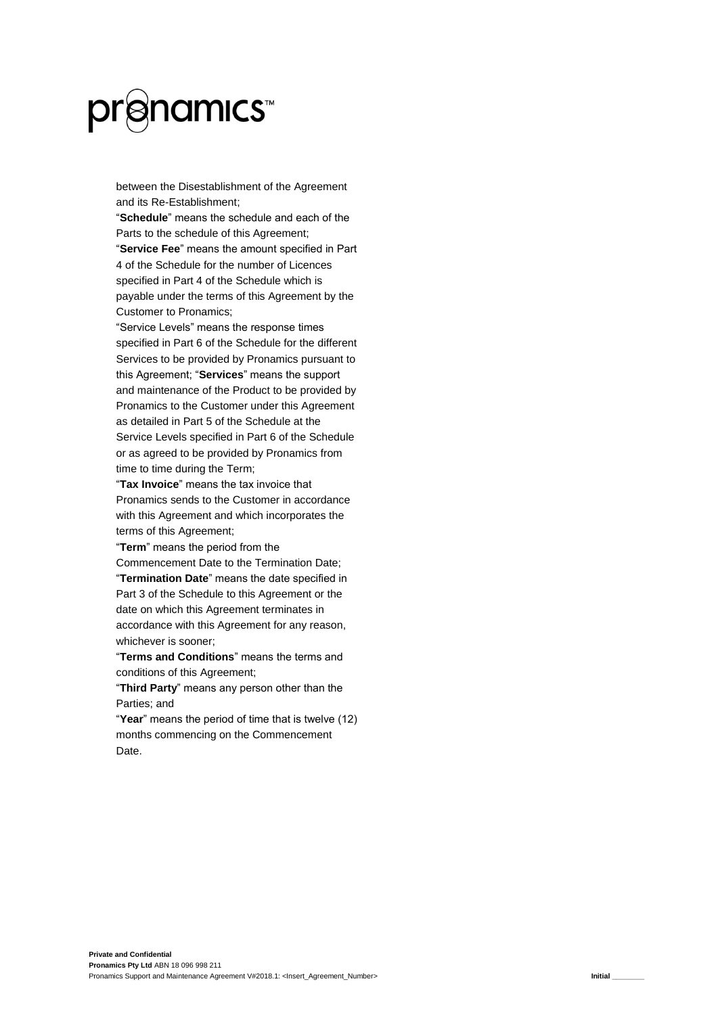# **`**@namıcs™

between the Disestablishment of the Agreement and its Re-Establishment;

"**Schedule**" means the schedule and each of the Parts to the schedule of this Agreement;

"**Service Fee**" means the amount specified in Part 4 of the Schedule for the number of Licences specified in Part 4 of the Schedule which is payable under the terms of this Agreement by the Customer to Pronamics;

"Service Levels" means the response times specified in Part 6 of the Schedule for the different Services to be provided by Pronamics pursuant to this Agreement; "**Services**" means the support and maintenance of the Product to be provided by Pronamics to the Customer under this Agreement as detailed in Part 5 of the Schedule at the Service Levels specified in Part 6 of the Schedule or as agreed to be provided by Pronamics from time to time during the Term;

"**Tax Invoice**" means the tax invoice that Pronamics sends to the Customer in accordance with this Agreement and which incorporates the terms of this Agreement;

"**Term**" means the period from the

Commencement Date to the Termination Date; "**Termination Date**" means the date specified in Part 3 of the Schedule to this Agreement or the date on which this Agreement terminates in accordance with this Agreement for any reason, whichever is sooner;

"**Terms and Conditions**" means the terms and conditions of this Agreement;

"**Third Party**" means any person other than the Parties; and

"**Year**" means the period of time that is twelve (12) months commencing on the Commencement Date.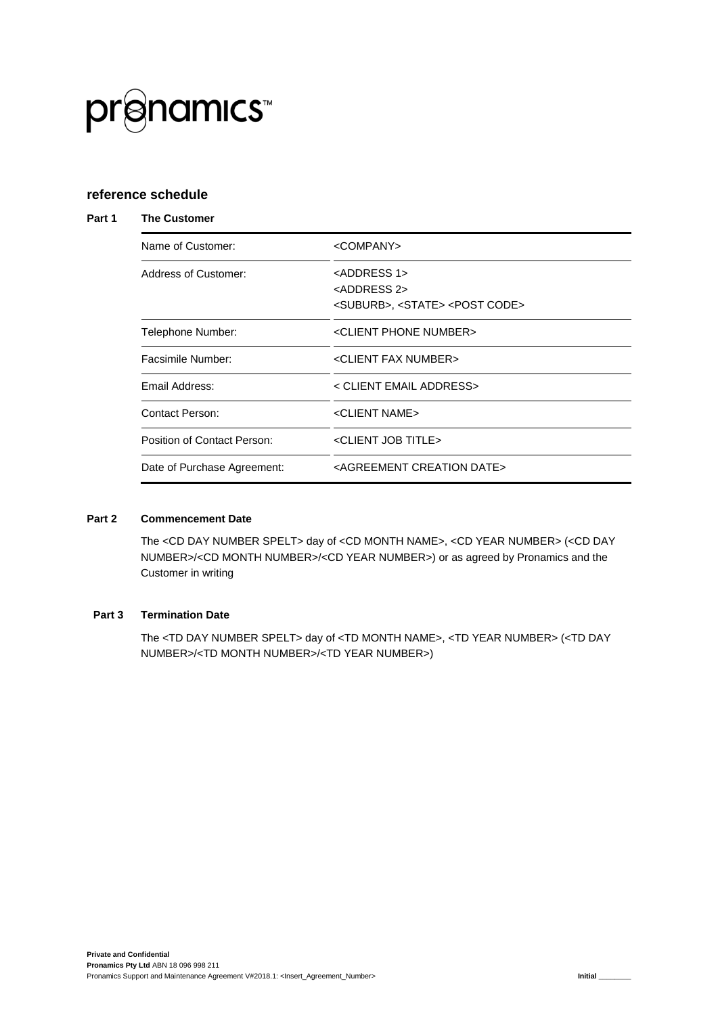

#### **reference schedule**

#### **Part 1 The Customer**

| Name of Customer:           | <company></company>                                      |
|-----------------------------|----------------------------------------------------------|
| Address of Customer:        | <address 1=""></address>                                 |
|                             | <address 2=""></address>                                 |
|                             | <suburb>, <state> <post code=""></post></state></suburb> |
| Telephone Number:           | <client number="" phone=""></client>                     |
| Facsimile Number:           | <client fax="" number=""></client>                       |
| Email Address:              | < CLIENT EMAIL ADDRESS>                                  |
| Contact Person:             | <client name=""></client>                                |
| Position of Contact Person: | <client job="" title=""></client>                        |
| Date of Purchase Agreement: | <agreement creation="" date=""></agreement>              |

#### **Part 2 Commencement Date**

The <CD DAY NUMBER SPELT> day of <CD MONTH NAME>, <CD YEAR NUMBER> (<CD DAY NUMBER>/<CD MONTH NUMBER>/<CD YEAR NUMBER>) or as agreed by Pronamics and the Customer in writing

#### **Part 3 Termination Date**

The <TD DAY NUMBER SPELT> day of <TD MONTH NAME>, <TD YEAR NUMBER> (<TD DAY NUMBER>/<TD MONTH NUMBER>/<TD YEAR NUMBER>)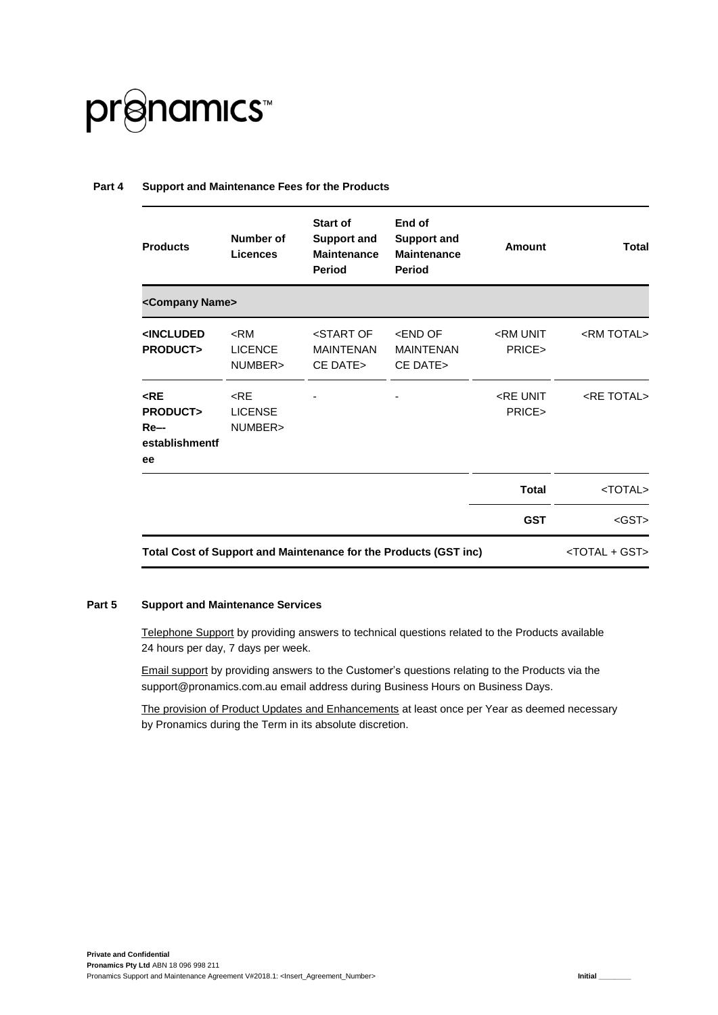

#### **Part 4 Support and Maintenance Fees for the Products**

| <b>Products</b>                                               | Number of<br><b>Licences</b>        | <b>Start of</b><br><b>Support and</b><br><b>Maintenance</b><br><b>Period</b> | End of<br><b>Support and</b><br><b>Maintenance</b><br>Period | Amount                        | Total                       |
|---------------------------------------------------------------|-------------------------------------|------------------------------------------------------------------------------|--------------------------------------------------------------|-------------------------------|-----------------------------|
| <company name=""></company>                                   |                                     |                                                                              |                                                              |                               |                             |
| <included<br><b>PRODUCT&gt;</b></included<br>                 | $<$ RM<br><b>LICENCE</b><br>NUMBER> | <start of<br=""><b>MAINTENAN</b><br/>CE DATE&gt;</start>                     | <end of<br=""><b>MAINTENAN</b><br/>CE DATE&gt;</end>         | <rm unit<br="">PRICE&gt;</rm> | <rm total=""></rm>          |
| $<$ RE<br><b>PRODUCT&gt;</b><br>$Re-$<br>establishmentf<br>ee | $<$ RE<br><b>LICENSE</b><br>NUMBER> |                                                                              |                                                              | <re unit<br="">PRICE&gt;</re> | <re total=""></re>          |
|                                                               |                                     |                                                                              |                                                              | <b>Total</b>                  | <total></total>             |
|                                                               |                                     |                                                                              |                                                              | <b>GST</b>                    | $<$ GST $>$                 |
|                                                               |                                     | Total Cost of Support and Maintenance for the Products (GST inc)             |                                                              |                               | <total +="" gst=""></total> |

#### **Part 5 Support and Maintenance Services**

Telephone Support by providing answers to technical questions related to the Products available 24 hours per day, 7 days per week.

Email support by providing answers to the Customer's questions relating to the Products via the support@pronamics.com.au email address during Business Hours on Business Days.

The provision of Product Updates and Enhancements at least once per Year as deemed necessary by Pronamics during the Term in its absolute discretion.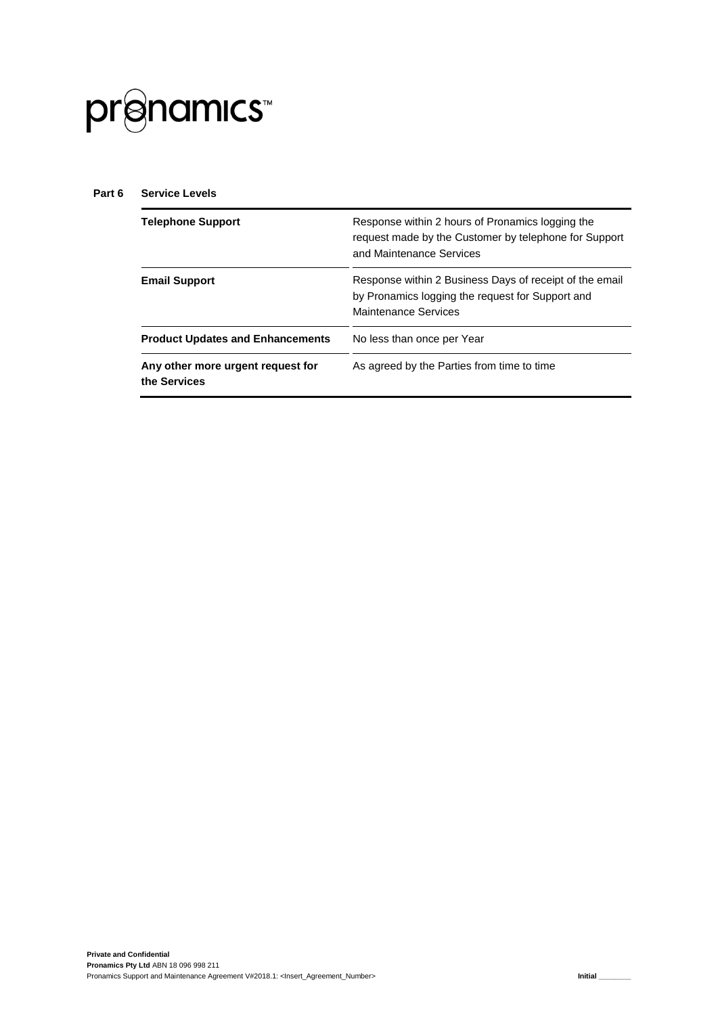

#### **Part 6 Service Levels**

| <b>Telephone Support</b>                          | Response within 2 hours of Pronamics logging the<br>request made by the Customer by telephone for Support<br>and Maintenance Services |
|---------------------------------------------------|---------------------------------------------------------------------------------------------------------------------------------------|
| <b>Email Support</b>                              | Response within 2 Business Days of receipt of the email<br>by Pronamics logging the request for Support and<br>Maintenance Services   |
| <b>Product Updates and Enhancements</b>           | No less than once per Year                                                                                                            |
| Any other more urgent request for<br>the Services | As agreed by the Parties from time to time                                                                                            |